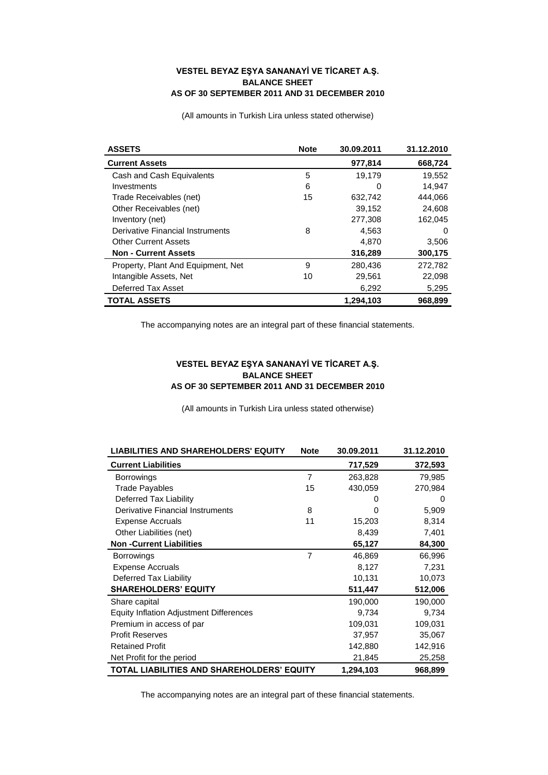## **VESTEL BEYAZ EŞYA SANANAYİ VE TİCARET A.Ş. BALANCE SHEET AS OF 30 SEPTEMBER 2011 AND 31 DECEMBER 2010**

(All amounts in Turkish Lira unless stated otherwise)

| <b>ASSETS</b>                      | <b>Note</b> | 30.09.2011 | 31.12.2010 |
|------------------------------------|-------------|------------|------------|
| <b>Current Assets</b>              |             | 977,814    | 668,724    |
| Cash and Cash Equivalents          | 5           | 19,179     | 19,552     |
| Investments                        | 6           | O          | 14,947     |
| Trade Receivables (net)            | 15          | 632,742    | 444,066    |
| Other Receivables (net)            |             | 39,152     | 24,608     |
| Inventory (net)                    |             | 277,308    | 162.045    |
| Derivative Financial Instruments   | 8           | 4,563      | 0          |
| <b>Other Current Assets</b>        |             | 4,870      | 3,506      |
| <b>Non - Current Assets</b>        |             | 316,289    | 300,175    |
| Property, Plant And Equipment, Net | 9           | 280,436    | 272,782    |
| Intangible Assets, Net             | 10          | 29,561     | 22,098     |
| Deferred Tax Asset                 |             | 6,292      | 5,295      |
| <b>TOTAL ASSETS</b>                |             | 1.294.103  | 968.899    |

The accompanying notes are an integral part of these financial statements.

## **VESTEL BEYAZ EŞYA SANANAYİ VE TİCARET A.Ş. BALANCE SHEET AS OF 30 SEPTEMBER 2011 AND 31 DECEMBER 2010**

(All amounts in Turkish Lira unless stated otherwise)

| <b>LIABILITIES AND SHAREHOLDERS' EQUITY</b>    | <b>Note</b>    | 30.09.2011 | 31.12.2010 |
|------------------------------------------------|----------------|------------|------------|
| <b>Current Liabilities</b>                     |                | 717,529    | 372,593    |
| <b>Borrowings</b>                              | $\overline{7}$ | 263,828    | 79,985     |
| <b>Trade Pavables</b>                          | 15             | 430,059    | 270,984    |
| Deferred Tax Liability                         |                | 0          | 0          |
| Derivative Financial Instruments               | 8              | O          | 5,909      |
| <b>Expense Accruals</b>                        | 11             | 15,203     | 8,314      |
| Other Liabilities (net)                        |                | 8,439      | 7,401      |
| <b>Non-Current Liabilities</b>                 |                | 65,127     | 84,300     |
| <b>Borrowings</b>                              | 7              | 46,869     | 66,996     |
| <b>Expense Accruals</b>                        |                | 8,127      | 7,231      |
| Deferred Tax Liability                         |                | 10,131     | 10,073     |
| <b>SHAREHOLDERS' EQUITY</b>                    |                | 511,447    | 512,006    |
| Share capital                                  |                | 190,000    | 190,000    |
| <b>Equity Inflation Adjustment Differences</b> |                | 9,734      | 9,734      |
| Premium in access of par                       |                | 109,031    | 109,031    |
| <b>Profit Reserves</b>                         |                | 37,957     | 35,067     |
| <b>Retained Profit</b>                         |                | 142,880    | 142,916    |
| Net Profit for the period                      |                | 21,845     | 25,258     |
| TOTAL LIABILITIES AND SHAREHOLDERS' EQUITY     |                | 1,294,103  | 968,899    |

The accompanying notes are an integral part of these financial statements.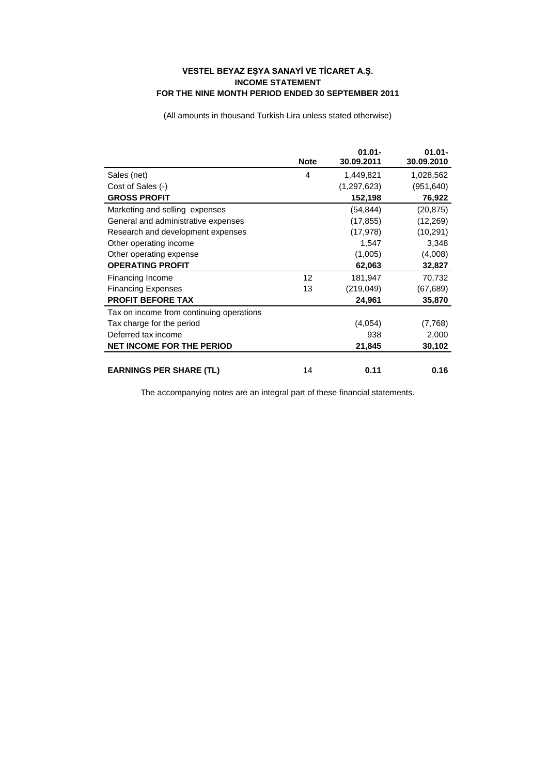## **VESTEL BEYAZ EŞYA SANAYİ VE TİCARET A.Ş. INCOME STATEMENT FOR THE NINE MONTH PERIOD ENDED 30 SEPTEMBER 2011**

(All amounts in thousand Turkish Lira unless stated otherwise)

|                                          | <b>Note</b> | $01.01 -$<br>30.09.2011 | $01.01 -$<br>30.09.2010 |
|------------------------------------------|-------------|-------------------------|-------------------------|
| Sales (net)                              | 4           | 1,449,821               | 1,028,562               |
| Cost of Sales (-)                        |             | (1, 297, 623)           | (951, 640)              |
| <b>GROSS PROFIT</b>                      |             | 152,198                 | 76,922                  |
| Marketing and selling expenses           |             | (54,844)                | (20, 875)               |
| General and administrative expenses      |             | (17, 855)               | (12, 269)               |
| Research and development expenses        |             | (17, 978)               | (10, 291)               |
| Other operating income                   |             | 1,547                   | 3,348                   |
| Other operating expense                  |             | (1,005)                 | (4,008)                 |
| <b>OPERATING PROFIT</b>                  |             | 62,063                  | 32,827                  |
| Financing Income                         | 12          | 181,947                 | 70,732                  |
| <b>Financing Expenses</b>                | 13          | (219, 049)              | (67, 689)               |
| <b>PROFIT BEFORE TAX</b>                 |             | 24.961                  | 35,870                  |
| Tax on income from continuing operations |             |                         |                         |
| Tax charge for the period                |             | (4,054)                 | (7,768)                 |
| Deferred tax income                      |             | 938                     | 2,000                   |
| <b>NET INCOME FOR THE PERIOD</b>         |             | 21,845                  | 30,102                  |
|                                          |             |                         |                         |
| <b>EARNINGS PER SHARE (TL)</b>           | 14          | 0.11                    | 0.16                    |

The accompanying notes are an integral part of these financial statements.